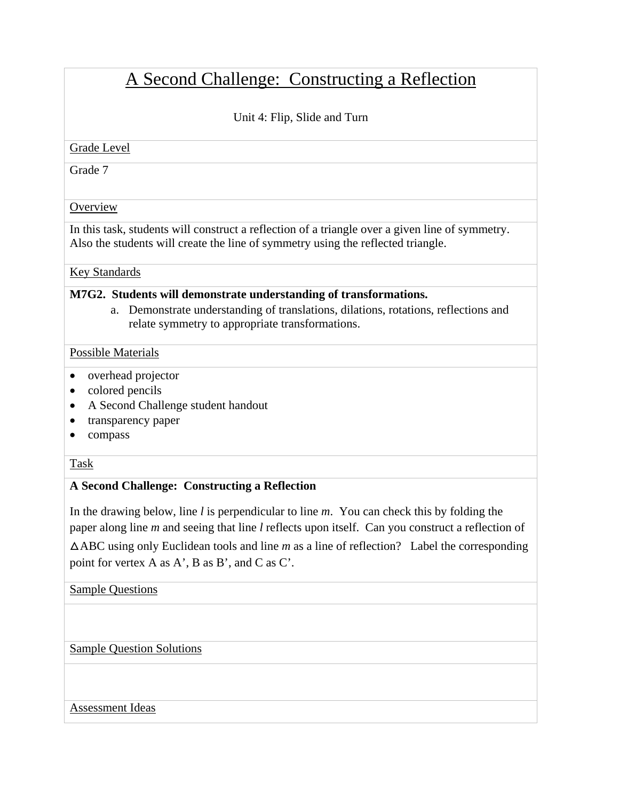# A Second Challenge: Constructing a Reflection

## Unit 4: Flip, Slide and Turn

#### Grade Level

Grade 7

#### **Overview**

In this task, students will construct a reflection of a triangle over a given line of symmetry. Also the students will create the line of symmetry using the reflected triangle.

#### Key Standards

#### **M7G2. Students will demonstrate understanding of transformations.**

a. Demonstrate understanding of translations, dilations, rotations, reflections and relate symmetry to appropriate transformations.

#### Possible Materials

- overhead projector
- colored pencils
- A Second Challenge student handout
- transparency paper
- compass

#### Task

### **A Second Challenge: Constructing a Reflection**

In the drawing below, line *l* is perpendicular to line *m*. You can check this by folding the paper along line *m* and seeing that line *l* reflects upon itself. Can you construct a reflection of  $\triangle$ ABC using only Euclidean tools and line *m* as a line of reflection? Label the corresponding point for vertex A as A', B as B', and C as C'.

#### Sample Questions

Sample Question Solutions

Assessment Ideas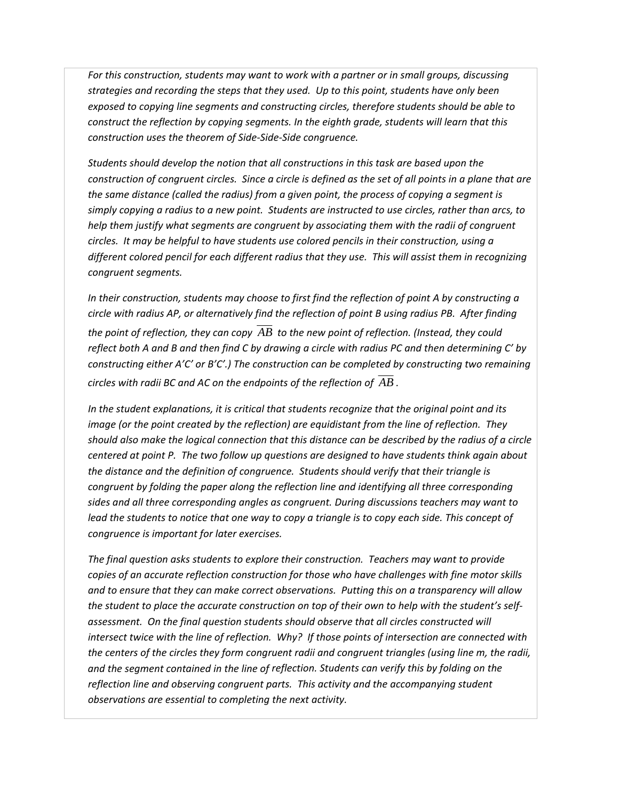*For this construction, students may want to work with a partner or in small groups, discussing strategies and recording the steps that they used. Up to this point, students have only been exposed to copying line segments and constructing circles, therefore students should be able to construct the reflection by copying segments. In the eighth grade, students will learn that this construction uses the theorem of Side‐Side‐Side congruence.* 

*Students should develop the notion that all constructions in this task are based upon the* construction of congruent circles. Since a circle is defined as the set of all points in a plane that are *the same distance (called the radius) from a given point, the process of copying a segment is* simply copying a radius to a new point. Students are instructed to use circles, rather than arcs, to *help them justify what segments are congruent by associating them with the radii of congruent circles. It may be helpful to have students use colored pencils in their construction, using a different colored pencil for each different radius that they use. This will assist them in recognizing congruent segments.* 

*In their construction, students may choose to first find the reflection of point A by constructing a* circle with radius AP, or alternatively find the reflection of point B using radius PB. After finding *the point of reflection, they can copy AB to the new point of reflection. (Instead, they could* reflect both A and B and then find C by drawing a circle with radius PC and then determining C' by *constructing either A'C' or B'C'.) The construction can be completed by constructing two remaining circles with radii BC and AC on the endpoints of the reflection of AB .*

*In the student explanations, it is critical that students recognize that the original point and its image (or the point created by the reflection) are equidistant from the line of reflection. They* should also make the logical connection that this distance can be described by the radius of a circle *centered at point P. The two follow up questions are designed to have students think again about the distance and the definition of congruence. Students should verify that their triangle is congruent by folding the paper along the reflection line and identifying all three corresponding sides and all three corresponding angles as congruent. During discussions teachers may want to* lead the students to notice that one way to copy a triangle is to copy each side. This concept of *congruence is important for later exercises.* 

*The final question asks students to explore their construction. Teachers may want to provide copies of an accurate reflection construction for those who have challenges with fine motor skills and to ensure that they can make correct observations. Putting this on a transparency will allow* the student to place the accurate construction on top of their own to help with the student's self*assessment. On the final question students should observe that all circles constructed will* intersect twice with the line of reflection. Why? If those points of intersection are connected with *the centers of the circles they form congruent radii and congruent triangles (using line m, the radii, and the segment contained in the line of reflection. Students can verify this by folding on the reflection line and observing congruent parts. This activity and the accompanying student observations are essential to completing the next activity.*